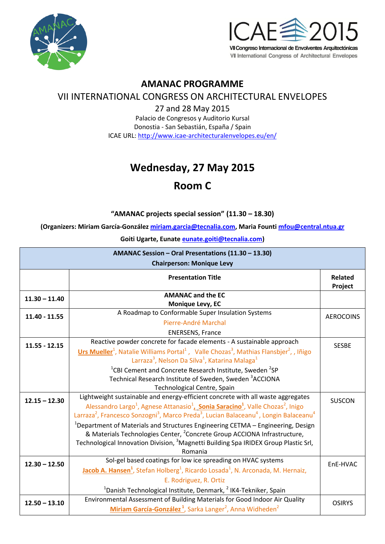



### **AMANAC PROGRAMME**

### VII INTERNATIONAL CONGRESS ON ARCHITECTURAL ENVELOPES

27 and 28 May 2015 Palacio de Congresos y Auditorio Kursal Donostia - San Sebastián, España / Spain ICAE URL: <http://www.icae-architecturalenvelopes.eu/en/>

# **Wednesday, 27 May 2015**

## **Room C**

### **"AMANAC projects special session" (11.30 – 18.30)**

**(Organizers: Miriam García-González [miriam.garcia@tecnalia.com,](mailto:miriam.garcia@tecnalia.com) Maria Fount[i mfou@central.ntua.gr](mailto:mfou@central.ntua.gr)**

**Goiti Ugarte, Eunate [eunate.goiti@tecnalia.com\)](mailto:eunate.goiti@tecnalia.com)**

| AMANAC Session - Oral Presentations (11.30 - 13.30)<br><b>Chairperson: Monique Levy</b> |                                                                                                                                                                                                                                                                                                                                                                                                                                                                                                                                                                |                    |
|-----------------------------------------------------------------------------------------|----------------------------------------------------------------------------------------------------------------------------------------------------------------------------------------------------------------------------------------------------------------------------------------------------------------------------------------------------------------------------------------------------------------------------------------------------------------------------------------------------------------------------------------------------------------|--------------------|
|                                                                                         | <b>Presentation Title</b>                                                                                                                                                                                                                                                                                                                                                                                                                                                                                                                                      | Related<br>Project |
| $11.30 - 11.40$                                                                         | <b>AMANAC and the EC</b><br>Monique Levy, EC                                                                                                                                                                                                                                                                                                                                                                                                                                                                                                                   |                    |
| $11.40 - 11.55$                                                                         | A Roadmap to Conformable Super Insulation Systems<br>Pierre-André Marchal<br><b>ENERSENS, France</b>                                                                                                                                                                                                                                                                                                                                                                                                                                                           | <b>AEROCOINS</b>   |
| $11.55 - 12.15$                                                                         | Reactive powder concrete for facade elements - A sustainable approach<br>Urs Mueller <sup>1</sup> , Natalie Williams Portal <sup>1</sup> , Valle Chozas <sup>3</sup> , Mathias Flansbjer <sup>2</sup> ,, Iñigo<br>Larraza <sup>3</sup> , Nelson Da Silva <sup>1</sup> , Katarina Malaga <sup>1</sup>                                                                                                                                                                                                                                                           | <b>SESBE</b>       |
|                                                                                         | <sup>1</sup> CBI Cement and Concrete Research Institute, Sweden <sup>2</sup> SP<br>Technical Research Institute of Sweden, Sweden <sup>3</sup> ACCIONA<br>Technological Centre, Spain                                                                                                                                                                                                                                                                                                                                                                          |                    |
| $12.15 - 12.30$                                                                         | Lightweight sustainable and energy-efficient concrete with all waste aggregates<br>Alessandro Largo <sup>1</sup> , Agnese Attanasio <sup>1</sup> , Sonia Saracino <sup>1</sup> , Valle Chozas <sup>2</sup> , Inigo<br>Larraza <sup>2</sup> , Francesco Sonzogni <sup>3</sup> , Marco Preda <sup>3</sup> , Lucian Balaceanu <sup>4</sup> , Longin Balaceanu <sup>4</sup><br><sup>1</sup> Department of Materials and Structures Engineering CETMA – Engineering, Design<br>& Materials Technologies Center, <sup>2</sup> Concrete Group ACCIONA Infrastructure, | <b>SUSCON</b>      |
|                                                                                         | Technological Innovation Division, <sup>3</sup> Magnetti Building Spa IRIDEX Group Plastic Srl,<br>Romania                                                                                                                                                                                                                                                                                                                                                                                                                                                     |                    |
| $12.30 - 12.50$                                                                         | Sol-gel based coatings for low ice spreading on HVAC systems<br>Jacob A. Hansen <sup>1</sup> , Stefan Holberg <sup>1</sup> , Ricardo Losada <sup>1</sup> , N. Arconada, M. Hernaiz,<br>E. Rodriguez, R. Ortiz<br><sup>1</sup> Danish Technological Institute, Denmark, <sup>2</sup> IK4-Tekniker, Spain                                                                                                                                                                                                                                                        | EnE-HVAC           |
| $12.50 - 13.10$                                                                         | Environmental Assessment of Building Materials for Good Indoor Air Quality<br>Miriam García-González <sup>1</sup> , Sarka Langer <sup>2</sup> , Anna Widheden <sup>2</sup>                                                                                                                                                                                                                                                                                                                                                                                     | <b>OSIRYS</b>      |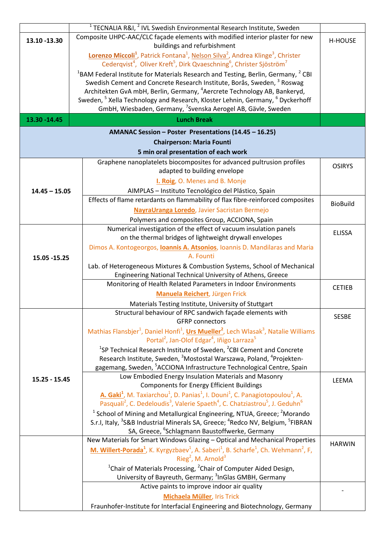|                                                                                           | <sup>1</sup> TECNALIA R&I, $^2$ IVL Swedish Environmental Research Institute, Sweden                                                                                                                                                                    |                 |  |  |
|-------------------------------------------------------------------------------------------|---------------------------------------------------------------------------------------------------------------------------------------------------------------------------------------------------------------------------------------------------------|-----------------|--|--|
| 13.10 -13.30                                                                              | Composite UHPC-AAC/CLC façade elements with modified interior plaster for new                                                                                                                                                                           | <b>H-HOUSE</b>  |  |  |
|                                                                                           | buildings and refurbishment                                                                                                                                                                                                                             |                 |  |  |
|                                                                                           | Lorenzo Miccoli <sup>1</sup> , Patrick Fontana <sup>1</sup> , Nelson Silva <sup>2</sup> , Andrea Klinge <sup>3</sup> , Christer<br>Cederqvist <sup>4</sup> , Oliver Kreft <sup>5</sup> , Dirk Qvaeschning <sup>6</sup> , Christer Sjöström <sup>7</sup> |                 |  |  |
|                                                                                           | <sup>1</sup> BAM Federal Institute for Materials Research and Testing, Berlin, Germany, $2$ CBI                                                                                                                                                         |                 |  |  |
|                                                                                           | Swedish Cement and Concrete Research Institute, Borås, Sweden, <sup>3</sup> Roswag                                                                                                                                                                      |                 |  |  |
|                                                                                           | Architekten GvA mbH, Berlin, Germany, <sup>4</sup> Aercrete Technology AB, Bankeryd,                                                                                                                                                                    |                 |  |  |
|                                                                                           | Sweden, <sup>5</sup> Xella Technology and Research, Kloster Lehnin, Germany, <sup>6</sup> Dyckerhoff                                                                                                                                                    |                 |  |  |
|                                                                                           | GmbH, Wiesbaden, Germany, <sup>7</sup> Svenska Aerogel AB, Gävle, Sweden                                                                                                                                                                                |                 |  |  |
| 13.30 - 14.45                                                                             | <b>Lunch Break</b>                                                                                                                                                                                                                                      |                 |  |  |
| AMANAC Session - Poster Presentations (14.45 - 16.25)<br><b>Chairperson: Maria Founti</b> |                                                                                                                                                                                                                                                         |                 |  |  |
|                                                                                           | 5 min oral presentation of each work                                                                                                                                                                                                                    |                 |  |  |
|                                                                                           | Graphene nanoplatelets biocomposites for advanced pultrusion profiles                                                                                                                                                                                   |                 |  |  |
|                                                                                           | adapted to building envelope                                                                                                                                                                                                                            | <b>OSIRYS</b>   |  |  |
|                                                                                           | I. Roig, O. Menes and B. Monje                                                                                                                                                                                                                          |                 |  |  |
| $14.45 - 15.05$                                                                           | AIMPLAS - Instituto Tecnológico del Plástico, Spain                                                                                                                                                                                                     |                 |  |  |
|                                                                                           | Effects of flame retardants on flammability of flax fibre-reinforced composites                                                                                                                                                                         |                 |  |  |
|                                                                                           | NayraUranga Loredo, Javier Sacristan Bermejo                                                                                                                                                                                                            | <b>BioBuild</b> |  |  |
|                                                                                           | Polymers and composites Group, ACCIONA, Spain                                                                                                                                                                                                           |                 |  |  |
|                                                                                           | Numerical investigation of the effect of vacuum insulation panels                                                                                                                                                                                       |                 |  |  |
|                                                                                           | on the thermal bridges of lightweight drywall envelopes                                                                                                                                                                                                 | <b>ELISSA</b>   |  |  |
|                                                                                           | Dimos A. Kontogeorgos, <b>Ioannis A. Atsonios</b> , Ioannis D. Mandilaras and Maria                                                                                                                                                                     |                 |  |  |
| 15.05 - 15.25                                                                             | A. Founti                                                                                                                                                                                                                                               |                 |  |  |
|                                                                                           | Lab. of Heterogeneous Mixtures & Combustion Systems, School of Mechanical                                                                                                                                                                               |                 |  |  |
|                                                                                           | Engineering National Technical University of Athens, Greece                                                                                                                                                                                             |                 |  |  |
|                                                                                           | Monitoring of Health Related Parameters in Indoor Environments                                                                                                                                                                                          |                 |  |  |
|                                                                                           | Manuela Reichert, Jürgen Frick                                                                                                                                                                                                                          | <b>CETIEB</b>   |  |  |
|                                                                                           | Materials Testing Institute, University of Stuttgart                                                                                                                                                                                                    |                 |  |  |
|                                                                                           | Structural behaviour of RPC sandwich façade elements with                                                                                                                                                                                               |                 |  |  |
|                                                                                           | <b>GFRP</b> connectors                                                                                                                                                                                                                                  | <b>SESBE</b>    |  |  |
|                                                                                           | Mathias Flansbjer <sup>1</sup> , Daniel Honfi <sup>1</sup> , Urs Mueller <sup>2</sup> , Lech Wlasak <sup>3</sup> , Natalie Williams                                                                                                                     |                 |  |  |
|                                                                                           | Portal <sup>2</sup> , Jan-Olof Edgar <sup>4</sup> , Iñigo Larraza <sup>5</sup>                                                                                                                                                                          |                 |  |  |
|                                                                                           | <sup>1</sup> SP Technical Research Institute of Sweden, <sup>2</sup> CBI Cement and Concrete                                                                                                                                                            |                 |  |  |
|                                                                                           | Research Institute, Sweden, <sup>3</sup> Mostostal Warszawa, Poland, <sup>4</sup> Projekten-                                                                                                                                                            |                 |  |  |
|                                                                                           | gagemang, Sweden, <sup>5</sup> ACCIONA Infrastructure Technological Centre, Spain                                                                                                                                                                       |                 |  |  |
| $15.25 - 15.45$                                                                           | Low Embodied Energy Insulation Materials and Masonry                                                                                                                                                                                                    | LEEMA           |  |  |
|                                                                                           | <b>Components for Energy Efficient Buildings</b>                                                                                                                                                                                                        |                 |  |  |
|                                                                                           | A. Gaki <sup>1</sup> , M. Taxiarchou <sup>1</sup> , D. Panias <sup>1</sup> , I. Douni <sup>1</sup> , C. Panagiotopoulou <sup>1</sup> , A.                                                                                                               |                 |  |  |
|                                                                                           | Pasquali <sup>2</sup> , C. Dedeloudis <sup>3</sup> , Valerie Spaeth <sup>4</sup> , C. Chatziastrou <sup>5</sup> , J. Geduhn <sup>6</sup>                                                                                                                |                 |  |  |
|                                                                                           | $1$ School of Mining and Metallurgical Engineering, NTUA, Greece; $2$ Morando                                                                                                                                                                           |                 |  |  |
|                                                                                           | S.r.I, Italy, <sup>3</sup> S&B Industrial Minerals SA, Greece; <sup>4</sup> Redco NV, Belgium, <sup>5</sup> FIBRAN                                                                                                                                      |                 |  |  |
|                                                                                           | SA, Greece, <sup>6</sup> Schlagmann Baustoffwerke, Germany                                                                                                                                                                                              |                 |  |  |
|                                                                                           | New Materials for Smart Windows Glazing - Optical and Mechanical Properties                                                                                                                                                                             | <b>HARWIN</b>   |  |  |
|                                                                                           | M. Willert-Porada <sup>1</sup> , K. Kyrgyzbaev <sup>1</sup> , A. Saberi <sup>1</sup> , B. Scharfe <sup>1</sup> , Ch. Wehmann <sup>2</sup> , F,                                                                                                          |                 |  |  |
|                                                                                           | Rieg <sup>2</sup> , M. Arnold <sup>3</sup>                                                                                                                                                                                                              |                 |  |  |
|                                                                                           | <sup>1</sup> Chair of Materials Processing, <sup>2</sup> Chair of Computer Aided Design,                                                                                                                                                                |                 |  |  |
|                                                                                           | University of Bayreuth, Germany; <sup>3</sup> InGlas GMBH, Germany                                                                                                                                                                                      |                 |  |  |
|                                                                                           | Active paints to improve indoor air quality                                                                                                                                                                                                             |                 |  |  |
|                                                                                           | Michaela Müller, Iris Trick                                                                                                                                                                                                                             |                 |  |  |
|                                                                                           | Fraunhofer-Institute for Interfacial Engineering and Biotechnology, Germany                                                                                                                                                                             |                 |  |  |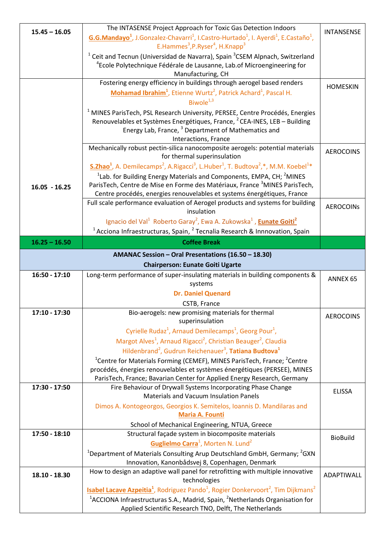| $15.45 - 16.05$                         | The INTASENSE Project Approach for Toxic Gas Detection Indoors                                                                                                  | <b>INTANSENSE</b> |
|-----------------------------------------|-----------------------------------------------------------------------------------------------------------------------------------------------------------------|-------------------|
|                                         | G.G.Mandayo <sup>1</sup> , J.Gonzalez-Chavarri <sup>1</sup> , I.Castro-Hurtado <sup>1</sup> , I. Ayerdi <sup>1</sup> , E.Castaño <sup>1</sup> ,                 |                   |
|                                         | E.Hammes <sup>3</sup> , P.Ryser <sup>4</sup> , H.Knapp <sup>3</sup>                                                                                             |                   |
|                                         | <sup>1</sup> Ceit and Tecnun (Universidad de Navarra), Spain <sup>3</sup> CSEM Alpnach, Switzerland                                                             |                   |
|                                         | <sup>4</sup> Ecole Polytechnique Fédérale de Lausanne, Lab.of Microengineering for                                                                              |                   |
|                                         | Manufacturing, CH                                                                                                                                               |                   |
|                                         | Fostering energy efficiency in buildings through aerogel based renders                                                                                          | <b>HOMESKIN</b>   |
|                                         | Mohamad Ibrahim <sup>1</sup> , Etienne Wurtz <sup>2</sup> , Patrick Achard <sup>1</sup> , Pascal H.                                                             |                   |
|                                         | Biwole $1,3$                                                                                                                                                    |                   |
|                                         | <sup>1</sup> MINES ParisTech, PSL Research University, PERSEE, Centre Procédés, Energies                                                                        |                   |
|                                         | Renouvelables et Systèmes Energétiques, France, <sup>2</sup> CEA-INES, LEB – Building                                                                           |                   |
|                                         | Energy Lab, France, <sup>3</sup> Department of Mathematics and                                                                                                  |                   |
|                                         | Interactions, France<br>Mechanically robust pectin-silica nanocomposite aerogels: potential materials                                                           |                   |
|                                         | for thermal superinsulation                                                                                                                                     | <b>AEROCOINS</b>  |
|                                         | $S. Zhao1$ , A. Demilecamps <sup>2</sup> , A. Rigacci <sup>3</sup> , L. Huber <sup>1</sup> , T. Budtova <sup>2</sup> ,*, M. M. Koebel <sup>1*</sup>             |                   |
|                                         | <sup>1</sup> Lab. for Building Energy Materials and Components, EMPA, CH; <sup>2</sup> MINES                                                                    |                   |
| $16.05 - 16.25$                         | ParisTech, Centre de Mise en Forme des Matériaux, France <sup>3</sup> MINES ParisTech,                                                                          |                   |
|                                         | Centre procédés, energies renouvelables et systems énergétiques, France                                                                                         |                   |
|                                         | Full scale performance evaluation of Aerogel products and systems for building                                                                                  | <b>AEROCOINS</b>  |
|                                         | insulation                                                                                                                                                      |                   |
|                                         | Ignacio del Val <sup>1</sup> Roberto Garay <sup>2</sup> , Ewa A. Zukowska <sup>1</sup> , <b>Eunate Goiti</b> <sup>2</sup>                                       |                   |
|                                         | $1$ Acciona Infraestructuras, Spain, $2$ Tecnalia Research & Innnovation, Spain                                                                                 |                   |
| $16.25 - 16.50$                         | <b>Coffee Break</b>                                                                                                                                             |                   |
|                                         | AMANAC Session - Oral Presentations (16.50 - 18.30)                                                                                                             |                   |
| <b>Chairperson: Eunate Goiti Ugarte</b> |                                                                                                                                                                 |                   |
|                                         |                                                                                                                                                                 |                   |
| $16:50 - 17:10$                         | Long-term performance of super-insulating materials in building components &                                                                                    |                   |
|                                         | systems                                                                                                                                                         | ANNEX 65          |
|                                         | <b>Dr. Daniel Quenard</b>                                                                                                                                       |                   |
|                                         | CSTB, France                                                                                                                                                    |                   |
| 17:10 - 17:30                           | Bio-aerogels: new promising materials for thermal                                                                                                               |                   |
|                                         | superinsulation                                                                                                                                                 | <b>AEROCOINS</b>  |
|                                         | Cyrielle Rudaz <sup>1</sup> , Arnaud Demilecamps <sup>1</sup> , Georg Pour <sup>1</sup> ,                                                                       |                   |
|                                         | Margot Alves <sup>1</sup> , Arnaud Rigacci <sup>2</sup> , Christian Beauger <sup>2</sup> , Claudia                                                              |                   |
|                                         | Hildenbrand <sup>2</sup> , Gudrun Reichenauer <sup>3</sup> , Tatiana Budtova <sup>1</sup>                                                                       |                   |
|                                         | <sup>1</sup> Centre for Materials Forming (CEMEF), MINES ParisTech, France; <sup>2</sup> Centre                                                                 |                   |
|                                         | procédés, énergies renouvelables et systèmes énergétiques (PERSEE), MINES                                                                                       |                   |
|                                         | ParisTech, France; Bavarian Center for Applied Energy Research, Germany                                                                                         |                   |
| 17:30 - 17:50                           | Fire Behaviour of Drywall Systems Incorporating Phase Change                                                                                                    | <b>ELISSA</b>     |
|                                         | <b>Materials and Vacuum Insulation Panels</b>                                                                                                                   |                   |
|                                         | Dimos A. Kontogeorgos, Georgios K. Semitelos, Ioannis D. Mandilaras and                                                                                         |                   |
|                                         | <b>Maria A. Founti</b>                                                                                                                                          |                   |
| 17:50 - 18:10                           | School of Mechanical Engineering, NTUA, Greece<br>Structural façade system in biocomposite materials                                                            |                   |
|                                         | Guglielmo Carra <sup>1</sup> , Morten N. Lund <sup>2</sup>                                                                                                      | <b>BioBuild</b>   |
|                                         | <sup>1</sup> Department of Materials Consulting Arup Deutschland GmbH, Germany; <sup>2</sup> GXN                                                                |                   |
|                                         | Innovation, Kanonbådsvej 8, Copenhagen, Denmark                                                                                                                 |                   |
|                                         | How to design an adaptive wall panel for retrofitting with multiple innovative                                                                                  |                   |
| 18.10 - 18.30                           | technologies                                                                                                                                                    | ADAPTIWALL        |
|                                         | <b>Isabel Lacave Azpeitia<sup>1</sup></b> , Rodriguez Pando <sup>1</sup> , Rogier Donkervoort <sup>2</sup> , Tim Dijkmans <sup>2</sup>                          |                   |
|                                         | <sup>1</sup> ACCIONA Infraestructuras S.A., Madrid, Spain, <sup>2</sup> Netherlands Organisation for<br>Applied Scientific Research TNO, Delft, The Netherlands |                   |